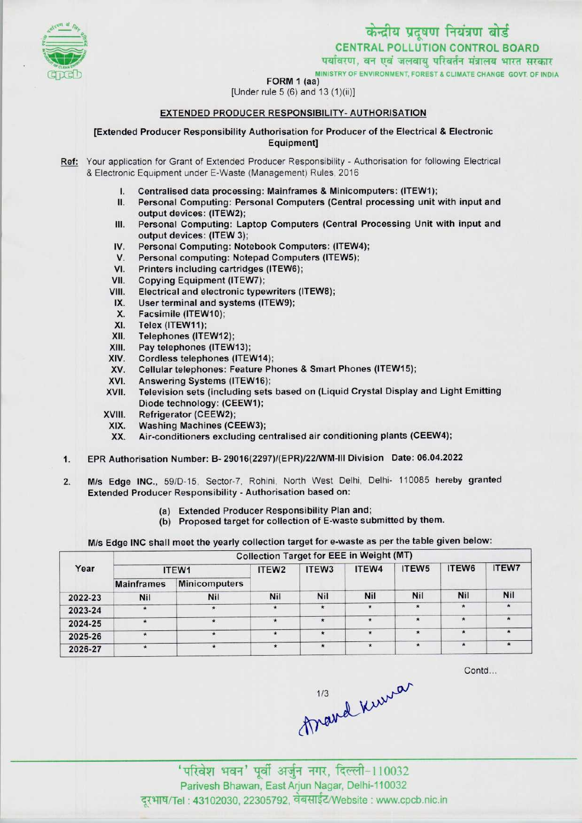

**FORM 1 (aa)**<br>FORM 1 (aa)



[Under rule 5 (6) and 13 (1)(ii)]

## EXTENDED PRODUCER RESPONSIBILITY-AUTHORISATION

[Extended Producer Responsibility Authorisation for Producer of the Electrical & Electronic Equipment]

Ref: Your application for Grant of Extended Producer Responsibility - Authorisation for following Electrical & Electronic Equipment under E-Waste (Management) Rules, 2016

- I. Centralised data processing: Mainframes & Minicomputers: (ITEW1);<br>II. Personal Computing: Personal Computers (Central processing unit)
- Personal Computing: Personal Computers (Central processing unit with input and output devices: (ITEW2);
- III.Personal Computing: Laptop Computers (Central Processing Unit with input and output devices: (ITEW 3); III. Personal Computing: Laptop Computers (Central Picture output devices: (ITEW 3);<br>IV. Personal Computing: Notebook Computers: (ITEW4);<br>V. Personal computing: Notebook Computers (ITEW5);
- output devices: (ITEW 3);<br>V. Personal Computing: Notebook Computers: (ITEW<br>V. Personal computing: Notepad Computers (ITEW5);<br>// Printers including cartridges (ITEW6); V. Personal Computing: Notebook Computers: (ITEW-<br>V. Personal computing: Notepad Computers (ITEW5);<br>VI. Printers including cartridges (ITEW6);<br>VII. Copying Equipment (ITEW7);
- 
- 
- VII. Copying Equipment (ITEW7);<br>VIII. Electrical and electronic type
- VI. Printers including cartridges (ITEW6);<br>VIII. Copying Equipment (ITEW7);<br>VIII. Electrical and electronic typewriters (ITEW8);<br>IY. Hear terminal and evetems (ITEW9); III. Copying Equipment (ITEW7);<br>III. Electrical and electronic typewriters<br>IX. User terminal and systems (ITEW9);
- IX. User terminal and systems (ITEW9);<br>X. Facsimile (ITEW10);<br>XI. Telex (ITEW11);
- 
- XI. Telex (ITEW11);<br>XII. Telephones (ITE
- XII. Telephones (ITEW12);<br>XIII. Pay telephones (ITEW
- 
- XIII. Pay telephones (ITEW13);<br>XIV. Cordless telephones (ITEV XIV. Cordless telephones (ITEW14);<br>XV. Cellular telephones: Feature Ph
- XIII. Pay telephones (ITEW13);<br>KIV. Cordless telephones (ITEW14);<br>XV. Cellular telephones: Feature Phones & Smart Phones (ITEW15);<br>CVI. Anourging Systems (ITEW16); XIV. Cordiess telephones (ITEW14)<br>XV. Cellular telephones: Feature P<br>XVI. Television sets (including sets)
- 
- XVI. Answering Systems (ITEW16);<br>XVII. Television sets (including sets based on (Liquid Crystal Display and Light Emitting XVII. Felevision sets (including set<br>Diode technology: (CEEW1);<br>XIX Mashing Machines (CFFW3)
- 
- XVIII. Refrigerator (CEEW2);<br>XIX. Washing Machines (CEEW3);<br>XX. Air-conditioners excluding ce
	- Air-conditioners excluding centralised air conditioning plants (CEEW4);
- 1. EPR Authorisation Number: B- 29016(2297)/(EPR)/22/WM-lll Division Date: 06.04.2022
- Extended Producer Responsibility Authorisation based on: 2. M/s Edge INC., 59/D-15, Sector-7, Rohini, North West Delhi, Delhi- 110085 hereby granted
	- (a)Extended Producer Responsibility Plan and;
	- (b) Proposed target for collection of E-waste submitted by them.

M/s Edge INC shall meet the yearly collection target for e-waste as per the table given below:

|         | <b>Collection Target for EEE in Weight (MT)</b> |                      |                   |                   |            |                   |            |              |  |  |
|---------|-------------------------------------------------|----------------------|-------------------|-------------------|------------|-------------------|------------|--------------|--|--|
| Year    |                                                 | ITEW1                | ITEW <sub>2</sub> | ITEW <sub>3</sub> | ITEW4      | ITEW <sub>5</sub> | ITEW6      | <b>ITEW7</b> |  |  |
|         | <b>Mainframes</b>                               | <b>Minicomputers</b> |                   |                   |            |                   |            |              |  |  |
| 2022-23 | Nil                                             | <b>Nil</b>           | <b>Nil</b>        | <b>Nil</b>        | <b>Nil</b> | <b>Nil</b>        | <b>Nil</b> | Nil          |  |  |
| 2023-24 |                                                 | $\star$              | $\star$           | $\star$           | $\star$    | $\star$           |            |              |  |  |
| 2024-25 |                                                 | $\star$              | $\star$           | $\star$           | $\star$    | $\star$           |            |              |  |  |
| 2025-26 |                                                 | $\cdot$              | $\star$           | $\star$           | *          | $\star$           |            |              |  |  |
| 2026-27 |                                                 | $\star$              | $\star$           | $\star$           |            | $\star$           |            |              |  |  |

Contd...

thand knew

' परिवेश भवन' पूर्वी अर्जुन नगर, दिल्ली-110032 Parivesh Bhawan, EastArjun Nagar, Delhi-110032 दरभाष/Tel : 43102030, 22305792, वेबसाईट/Website : www.cpcb.nic.in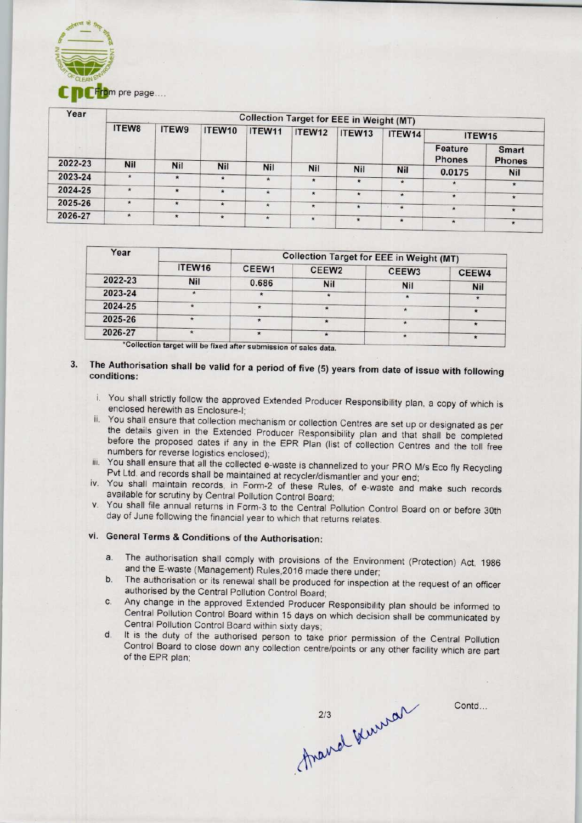

| Year    | From pre page<br><b>Collection Target for EEE in Weight (MT)</b> |            |         |            |         |            |                |                          |                               |  |  |
|---------|------------------------------------------------------------------|------------|---------|------------|---------|------------|----------------|--------------------------|-------------------------------|--|--|
|         | ITEW8                                                            | ITEW9      | ITEW10  | ITEW11     | ITEW12  | ITEW13     | ITEW14         | ITEW15                   |                               |  |  |
|         |                                                                  |            |         |            |         |            |                | Feature<br><b>Phones</b> | <b>Smart</b><br><b>Phones</b> |  |  |
| 2022-23 | Nil                                                              | <b>Nil</b> | Nil     | <b>Nil</b> | Nil     | <b>Nil</b> | <b>Nil</b>     |                          |                               |  |  |
| 2023-24 | $\star$                                                          | $\star$    | $\star$ | $\star$    | $\star$ | $\star$    | $\star$        | 0.0175                   | <b>Nil</b>                    |  |  |
| 2024-25 | $\star$                                                          | $\star$    |         |            |         |            |                | $\star$                  | $\star$                       |  |  |
|         |                                                                  |            | $\star$ | $\star$    | $\star$ | $\star$    | $\star$        | $\star$                  | $\star$                       |  |  |
| 2025-26 | $\star$                                                          | $\star$    | $\star$ | $\star$    | $\star$ | $\ast$     | $\star$<br>-97 | $\star$                  | $\star$                       |  |  |
| 2026-27 | $\star$                                                          | $\star$    | $\star$ | $\star$    | $\star$ | $\star$    | $\star$        | $\star$                  | $\star$                       |  |  |

| Year    |            | <b>Collection Target for EEE in Weight (MT)</b> |                   |                   |            |  |  |
|---------|------------|-------------------------------------------------|-------------------|-------------------|------------|--|--|
|         | ITEW16     | CEEW <sub>1</sub>                               | CEEW <sub>2</sub> | CEEW <sub>3</sub> | CEEW4      |  |  |
| 2022-23 | <b>Nil</b> | 0.686                                           | <b>Nil</b>        | <b>Nil</b>        |            |  |  |
| 2023-24 |            |                                                 |                   |                   | <b>Nil</b> |  |  |
| 2024-25 |            |                                                 |                   |                   |            |  |  |
| 2025-26 |            |                                                 |                   |                   |            |  |  |
| 2026-27 |            |                                                 |                   |                   |            |  |  |

--<br>\*Collection target will be fixed after submission of sales data.

## 3. The Authorisation shall be valid for a period of five (5) years from date of issue with following conditions:

- i. You shall strictly follow the approved Extended Producer Responsibility plan, a copy of which is enclosed herewith as Enclosure-I;
- ii. You shall ensure that collection mechanism or collection Centres are set up or designated as per the details given in the Extended Producer Responsibility plan and that shall be completed before the proposed dates if any in the EPR Plan (list of collection Centres and the toll free numbers for reverse logistics enclosed);
- iii. You shall ensure that all the collected e-waste is channelized to your PRO M/s Eco fly Recycling Pvt Ltd. and records shall be maintained at recycler/dismantler and your end;
- iv. You shall maintain records, in Form-2 of these Rules, of e-waste and make such records available for scrutiny by Central Pollution Control Board;
- v. You shall file annual returns in Form-3 to the Central Pollution Control Board on or before 30th day of June following the financial year to which that returns relates.

## vi. General Terms & Conditions of the Authorisation:

- a.The authorisation shall comply with provisions of the Environment (Protection) Act, <sup>1986</sup> and the E-waste (Management) Rules,2016 made there under;
- b.The authorisation or its renewal shall be produced for inspection at the request of an officer authorised by the Central Pollution Control Board;
- c.Any change in the approved Extended Producer Responsibility plan should be informed to Central Pollution Control Board within 15 days on which decision shall be communicated by Central Pollution Control Board within sixty days;
- d.It is the duty of the authorised person to take prior permission of the Central Pollution Control Board to close down any collection centre/points or any other facility which are part of the EPR plan;

mand knowan

Contd...